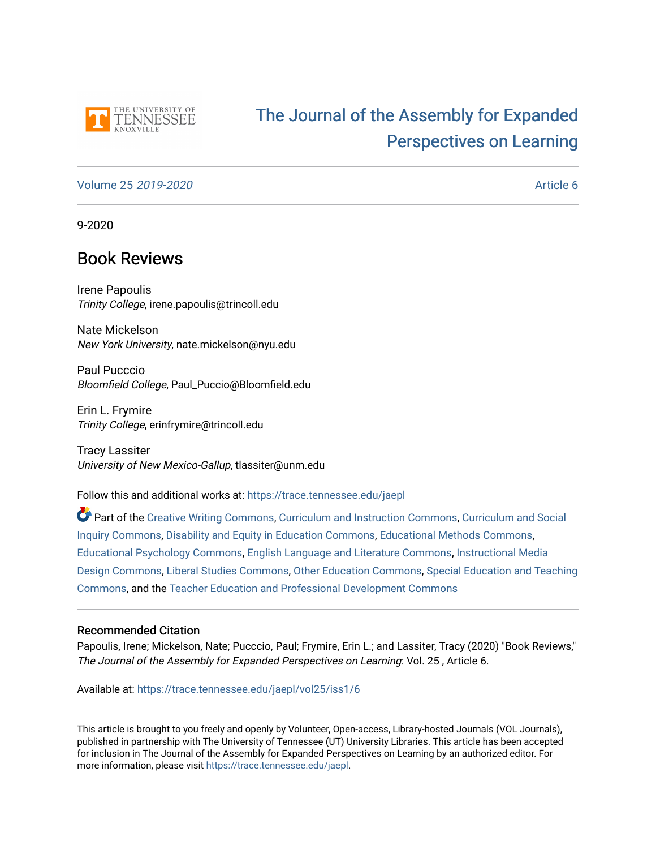

# [The Journal of the Assembly for Expanded](https://trace.tennessee.edu/jaepl)  [Perspectives on Learning](https://trace.tennessee.edu/jaepl)

## [Volume 25](https://trace.tennessee.edu/jaepl/vol25) 2019-2020 [Article 6](https://trace.tennessee.edu/jaepl/vol25/iss1/6)

9-2020

## Book Reviews

Irene Papoulis Trinity College, irene.papoulis@trincoll.edu

Nate Mickelson New York University, nate.mickelson@nyu.edu

Paul Pucccio Bloomfield College, Paul\_Puccio@Bloomfield.edu

Erin L. Frymire Trinity College, erinfrymire@trincoll.edu

Tracy Lassiter University of New Mexico-Gallup, tlassiter@unm.edu

Follow this and additional works at: [https://trace.tennessee.edu/jaepl](https://trace.tennessee.edu/jaepl?utm_source=trace.tennessee.edu%2Fjaepl%2Fvol25%2Fiss1%2F6&utm_medium=PDF&utm_campaign=PDFCoverPages)

Part of the [Creative Writing Commons](http://network.bepress.com/hgg/discipline/574?utm_source=trace.tennessee.edu%2Fjaepl%2Fvol25%2Fiss1%2F6&utm_medium=PDF&utm_campaign=PDFCoverPages), [Curriculum and Instruction Commons,](http://network.bepress.com/hgg/discipline/786?utm_source=trace.tennessee.edu%2Fjaepl%2Fvol25%2Fiss1%2F6&utm_medium=PDF&utm_campaign=PDFCoverPages) [Curriculum and Social](http://network.bepress.com/hgg/discipline/1038?utm_source=trace.tennessee.edu%2Fjaepl%2Fvol25%2Fiss1%2F6&utm_medium=PDF&utm_campaign=PDFCoverPages)  [Inquiry Commons,](http://network.bepress.com/hgg/discipline/1038?utm_source=trace.tennessee.edu%2Fjaepl%2Fvol25%2Fiss1%2F6&utm_medium=PDF&utm_campaign=PDFCoverPages) [Disability and Equity in Education Commons](http://network.bepress.com/hgg/discipline/1040?utm_source=trace.tennessee.edu%2Fjaepl%2Fvol25%2Fiss1%2F6&utm_medium=PDF&utm_campaign=PDFCoverPages), [Educational Methods Commons](http://network.bepress.com/hgg/discipline/1227?utm_source=trace.tennessee.edu%2Fjaepl%2Fvol25%2Fiss1%2F6&utm_medium=PDF&utm_campaign=PDFCoverPages), [Educational Psychology Commons](http://network.bepress.com/hgg/discipline/798?utm_source=trace.tennessee.edu%2Fjaepl%2Fvol25%2Fiss1%2F6&utm_medium=PDF&utm_campaign=PDFCoverPages), [English Language and Literature Commons,](http://network.bepress.com/hgg/discipline/455?utm_source=trace.tennessee.edu%2Fjaepl%2Fvol25%2Fiss1%2F6&utm_medium=PDF&utm_campaign=PDFCoverPages) [Instructional Media](http://network.bepress.com/hgg/discipline/795?utm_source=trace.tennessee.edu%2Fjaepl%2Fvol25%2Fiss1%2F6&utm_medium=PDF&utm_campaign=PDFCoverPages)  [Design Commons](http://network.bepress.com/hgg/discipline/795?utm_source=trace.tennessee.edu%2Fjaepl%2Fvol25%2Fiss1%2F6&utm_medium=PDF&utm_campaign=PDFCoverPages), [Liberal Studies Commons,](http://network.bepress.com/hgg/discipline/1042?utm_source=trace.tennessee.edu%2Fjaepl%2Fvol25%2Fiss1%2F6&utm_medium=PDF&utm_campaign=PDFCoverPages) [Other Education Commons,](http://network.bepress.com/hgg/discipline/811?utm_source=trace.tennessee.edu%2Fjaepl%2Fvol25%2Fiss1%2F6&utm_medium=PDF&utm_campaign=PDFCoverPages) [Special Education and Teaching](http://network.bepress.com/hgg/discipline/801?utm_source=trace.tennessee.edu%2Fjaepl%2Fvol25%2Fiss1%2F6&utm_medium=PDF&utm_campaign=PDFCoverPages)  [Commons](http://network.bepress.com/hgg/discipline/801?utm_source=trace.tennessee.edu%2Fjaepl%2Fvol25%2Fiss1%2F6&utm_medium=PDF&utm_campaign=PDFCoverPages), and the [Teacher Education and Professional Development Commons](http://network.bepress.com/hgg/discipline/803?utm_source=trace.tennessee.edu%2Fjaepl%2Fvol25%2Fiss1%2F6&utm_medium=PDF&utm_campaign=PDFCoverPages)

## Recommended Citation

Papoulis, Irene; Mickelson, Nate; Pucccio, Paul; Frymire, Erin L.; and Lassiter, Tracy (2020) "Book Reviews," The Journal of the Assembly for Expanded Perspectives on Learning: Vol. 25 , Article 6.

Available at: [https://trace.tennessee.edu/jaepl/vol25/iss1/6](https://trace.tennessee.edu/jaepl/vol25/iss1/6?utm_source=trace.tennessee.edu%2Fjaepl%2Fvol25%2Fiss1%2F6&utm_medium=PDF&utm_campaign=PDFCoverPages)

This article is brought to you freely and openly by Volunteer, Open-access, Library-hosted Journals (VOL Journals), published in partnership with The University of Tennessee (UT) University Libraries. This article has been accepted for inclusion in The Journal of the Assembly for Expanded Perspectives on Learning by an authorized editor. For more information, please visit <https://trace.tennessee.edu/jaepl>.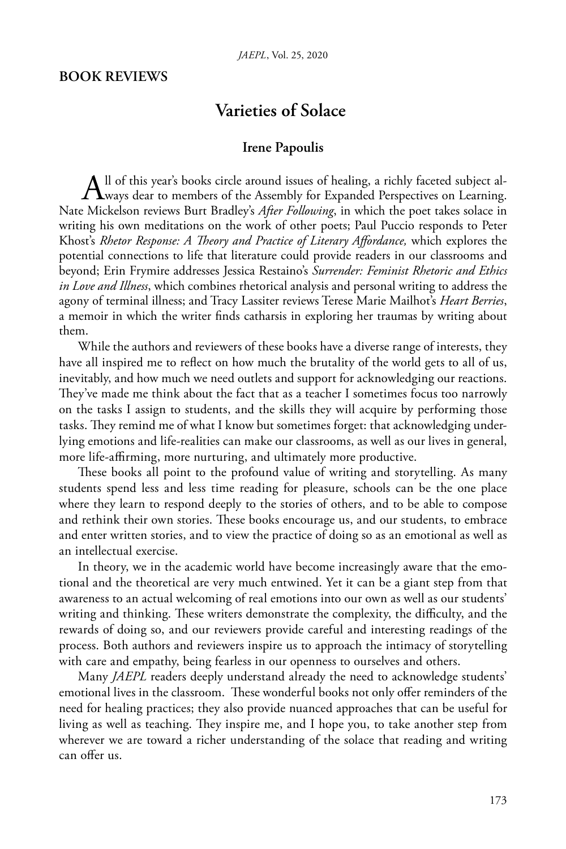## **BOOK REVIEWS**

## **Varieties of Solace**

## **Irene Papoulis**

All of this year's books circle around issues of healing, a richly faceted subject al-<br>ways dear to members of the Assembly for Expanded Perspectives on Learning. Nate Mickelson reviews Burt Bradley's *After Following*, in which the poet takes solace in writing his own meditations on the work of other poets; Paul Puccio responds to Peter Khost's *Rhetor Response: A Theory and Practice of Literary Affordance,* which explores the potential connections to life that literature could provide readers in our classrooms and beyond; Erin Frymire addresses Jessica Restaino's *Surrender: Feminist Rhetoric and Ethics in Love and Illness*, which combines rhetorical analysis and personal writing to address the agony of terminal illness; and Tracy Lassiter reviews Terese Marie Mailhot's *Heart Berries*, a memoir in which the writer finds catharsis in exploring her traumas by writing about them.

While the authors and reviewers of these books have a diverse range of interests, they have all inspired me to reflect on how much the brutality of the world gets to all of us, inevitably, and how much we need outlets and support for acknowledging our reactions. They've made me think about the fact that as a teacher I sometimes focus too narrowly on the tasks I assign to students, and the skills they will acquire by performing those tasks. They remind me of what I know but sometimes forget: that acknowledging underlying emotions and life-realities can make our classrooms, as well as our lives in general, more life-affirming, more nurturing, and ultimately more productive.

These books all point to the profound value of writing and storytelling. As many students spend less and less time reading for pleasure, schools can be the one place where they learn to respond deeply to the stories of others, and to be able to compose and rethink their own stories. These books encourage us, and our students, to embrace and enter written stories, and to view the practice of doing so as an emotional as well as an intellectual exercise.

In theory, we in the academic world have become increasingly aware that the emotional and the theoretical are very much entwined. Yet it can be a giant step from that awareness to an actual welcoming of real emotions into our own as well as our students' writing and thinking. These writers demonstrate the complexity, the difficulty, and the rewards of doing so, and our reviewers provide careful and interesting readings of the process. Both authors and reviewers inspire us to approach the intimacy of storytelling with care and empathy, being fearless in our openness to ourselves and others.

Many *JAEPL* readers deeply understand already the need to acknowledge students' emotional lives in the classroom. These wonderful books not only offer reminders of the need for healing practices; they also provide nuanced approaches that can be useful for living as well as teaching. They inspire me, and I hope you, to take another step from wherever we are toward a richer understanding of the solace that reading and writing can offer us.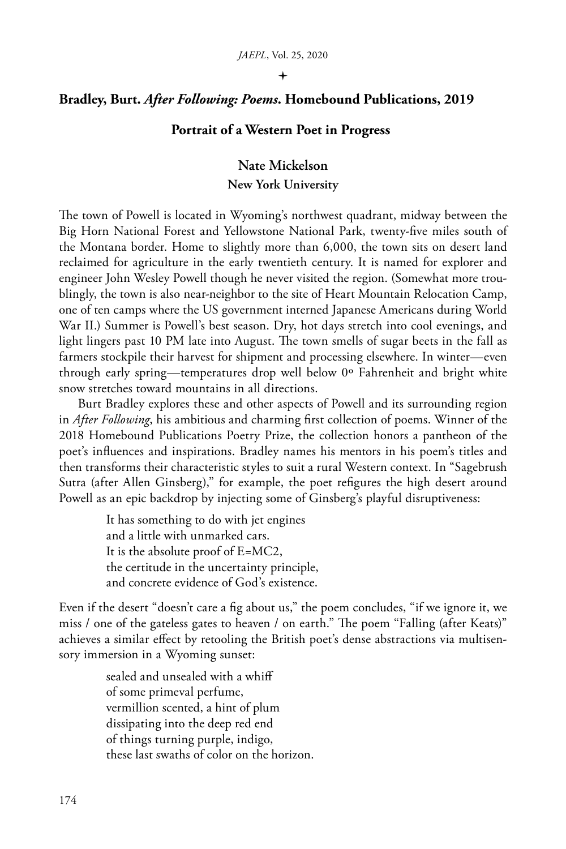#### $\ddotmark$

## **Bradley, Burt.** *After Following: Poems***. Homebound Publications, 2019**

## **Portrait of a Western Poet in Progress**

## **Nate Mickelson New York University**

The town of Powell is located in Wyoming's northwest quadrant, midway between the Big Horn National Forest and Yellowstone National Park, twenty-five miles south of the Montana border. Home to slightly more than 6,000, the town sits on desert land reclaimed for agriculture in the early twentieth century. It is named for explorer and engineer John Wesley Powell though he never visited the region. (Somewhat more troublingly, the town is also near-neighbor to the site of Heart Mountain Relocation Camp, one of ten camps where the US government interned Japanese Americans during World War II.) Summer is Powell's best season. Dry, hot days stretch into cool evenings, and light lingers past 10 PM late into August. The town smells of sugar beets in the fall as farmers stockpile their harvest for shipment and processing elsewhere. In winter—even through early spring—temperatures drop well below 0º Fahrenheit and bright white snow stretches toward mountains in all directions.

Burt Bradley explores these and other aspects of Powell and its surrounding region in *After Following*, his ambitious and charming first collection of poems. Winner of the 2018 Homebound Publications Poetry Prize, the collection honors a pantheon of the poet's influences and inspirations. Bradley names his mentors in his poem's titles and then transforms their characteristic styles to suit a rural Western context. In "Sagebrush Sutra (after Allen Ginsberg)," for example, the poet refigures the high desert around Powell as an epic backdrop by injecting some of Ginsberg's playful disruptiveness:

> It has something to do with jet engines and a little with unmarked cars. It is the absolute proof of E=MC2, the certitude in the uncertainty principle, and concrete evidence of God's existence.

Even if the desert "doesn't care a fig about us," the poem concludes, "if we ignore it, we miss / one of the gateless gates to heaven / on earth." The poem "Falling (after Keats)" achieves a similar effect by retooling the British poet's dense abstractions via multisensory immersion in a Wyoming sunset:

> sealed and unsealed with a whiff of some primeval perfume, vermillion scented, a hint of plum dissipating into the deep red end of things turning purple, indigo, these last swaths of color on the horizon.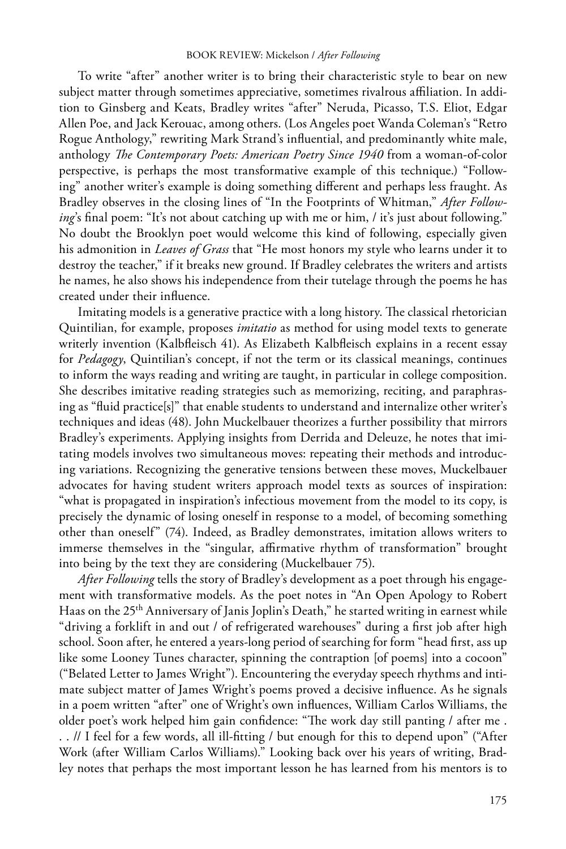To write "after" another writer is to bring their characteristic style to bear on new subject matter through sometimes appreciative, sometimes rivalrous affiliation. In addition to Ginsberg and Keats, Bradley writes "after" Neruda, Picasso, T.S. Eliot, Edgar Allen Poe, and Jack Kerouac, among others. (Los Angeles poet Wanda Coleman's "Retro Rogue Anthology," rewriting Mark Strand's influential, and predominantly white male, anthology *The Contemporary Poets: American Poetry Since 1940* from a woman-of-color perspective, is perhaps the most transformative example of this technique.) "Following" another writer's example is doing something different and perhaps less fraught. As Bradley observes in the closing lines of "In the Footprints of Whitman," *After Follow*ing's final poem: "It's not about catching up with me or him, / it's just about following." No doubt the Brooklyn poet would welcome this kind of following, especially given his admonition in *Leaves of Grass* that "He most honors my style who learns under it to destroy the teacher," if it breaks new ground. If Bradley celebrates the writers and artists he names, he also shows his independence from their tutelage through the poems he has created under their influence.

Imitating models is a generative practice with a long history. The classical rhetorician Quintilian, for example, proposes *imitatio* as method for using model texts to generate writerly invention (Kalbfleisch 41). As Elizabeth Kalbfleisch explains in a recent essay for *Pedagogy*, Quintilian's concept, if not the term or its classical meanings, continues to inform the ways reading and writing are taught, in particular in college composition. She describes imitative reading strategies such as memorizing, reciting, and paraphrasing as "fluid practice[s]" that enable students to understand and internalize other writer's techniques and ideas (48). John Muckelbauer theorizes a further possibility that mirrors Bradley's experiments. Applying insights from Derrida and Deleuze, he notes that imitating models involves two simultaneous moves: repeating their methods and introducing variations. Recognizing the generative tensions between these moves, Muckelbauer advocates for having student writers approach model texts as sources of inspiration: "what is propagated in inspiration's infectious movement from the model to its copy, is precisely the dynamic of losing oneself in response to a model, of becoming something other than oneself" (74). Indeed, as Bradley demonstrates, imitation allows writers to immerse themselves in the "singular, affirmative rhythm of transformation" brought into being by the text they are considering (Muckelbauer 75).

*After Following* tells the story of Bradley's development as a poet through his engagement with transformative models. As the poet notes in "An Open Apology to Robert Haas on the 25<sup>th</sup> Anniversary of Janis Joplin's Death," he started writing in earnest while "driving a forklift in and out / of refrigerated warehouses" during a first job after high school. Soon after, he entered a years-long period of searching for form "head first, ass up like some Looney Tunes character, spinning the contraption [of poems] into a cocoon" ("Belated Letter to James Wright"). Encountering the everyday speech rhythms and intimate subject matter of James Wright's poems proved a decisive influence. As he signals in a poem written "after" one of Wright's own influences, William Carlos Williams, the older poet's work helped him gain confidence: "The work day still panting / after me . . . // I feel for a few words, all ill-fitting / but enough for this to depend upon" ("After Work (after William Carlos Williams)." Looking back over his years of writing, Bradley notes that perhaps the most important lesson he has learned from his mentors is to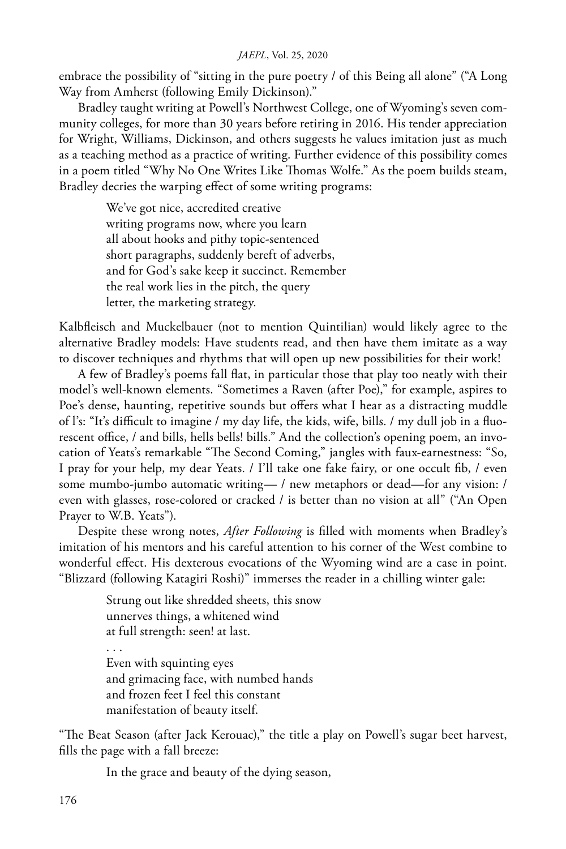embrace the possibility of "sitting in the pure poetry / of this Being all alone" ("A Long Way from Amherst (following Emily Dickinson)."

Bradley taught writing at Powell's Northwest College, one of Wyoming's seven community colleges, for more than 30 years before retiring in 2016. His tender appreciation for Wright, Williams, Dickinson, and others suggests he values imitation just as much as a teaching method as a practice of writing. Further evidence of this possibility comes in a poem titled "Why No One Writes Like Thomas Wolfe." As the poem builds steam, Bradley decries the warping effect of some writing programs:

> We've got nice, accredited creative writing programs now, where you learn all about hooks and pithy topic-sentenced short paragraphs, suddenly bereft of adverbs, and for God's sake keep it succinct. Remember the real work lies in the pitch, the query letter, the marketing strategy.

Kalbfleisch and Muckelbauer (not to mention Quintilian) would likely agree to the alternative Bradley models: Have students read, and then have them imitate as a way to discover techniques and rhythms that will open up new possibilities for their work!

A few of Bradley's poems fall flat, in particular those that play too neatly with their model's well-known elements. "Sometimes a Raven (after Poe)," for example, aspires to Poe's dense, haunting, repetitive sounds but offers what I hear as a distracting muddle of l's: "It's difficult to imagine / my day life, the kids, wife, bills. / my dull job in a fluorescent office, / and bills, hells bells! bills." And the collection's opening poem, an invocation of Yeats's remarkable "The Second Coming," jangles with faux-earnestness: "So, I pray for your help, my dear Yeats. / I'll take one fake fairy, or one occult fib, / even some mumbo-jumbo automatic writing— / new metaphors or dead—for any vision: / even with glasses, rose-colored or cracked / is better than no vision at all" ("An Open Prayer to W.B. Yeats").

Despite these wrong notes, *After Following* is filled with moments when Bradley's imitation of his mentors and his careful attention to his corner of the West combine to wonderful effect. His dexterous evocations of the Wyoming wind are a case in point. "Blizzard (following Katagiri Roshi)" immerses the reader in a chilling winter gale:

> Strung out like shredded sheets, this snow unnerves things, a whitened wind at full strength: seen! at last.

. . . Even with squinting eyes and grimacing face, with numbed hands and frozen feet I feel this constant manifestation of beauty itself.

"The Beat Season (after Jack Kerouac)," the title a play on Powell's sugar beet harvest, fills the page with a fall breeze:

In the grace and beauty of the dying season,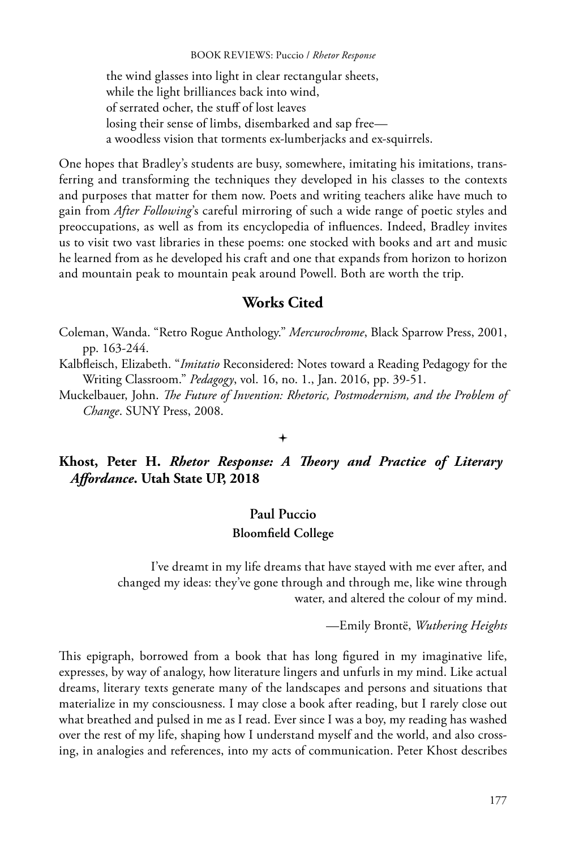#### BOOK REVIEWS: Puccio / *Rhetor Response*

the wind glasses into light in clear rectangular sheets, while the light brilliances back into wind, of serrated ocher, the stuff of lost leaves losing their sense of limbs, disembarked and sap free a woodless vision that torments ex-lumberjacks and ex-squirrels.

One hopes that Bradley's students are busy, somewhere, imitating his imitations, transferring and transforming the techniques they developed in his classes to the contexts and purposes that matter for them now. Poets and writing teachers alike have much to gain from *After Following*'s careful mirroring of such a wide range of poetic styles and preoccupations, as well as from its encyclopedia of influences. Indeed, Bradley invites us to visit two vast libraries in these poems: one stocked with books and art and music he learned from as he developed his craft and one that expands from horizon to horizon and mountain peak to mountain peak around Powell. Both are worth the trip.

## **Works Cited**

- Coleman, Wanda. "Retro Rogue Anthology." *Mercurochrome*, Black Sparrow Press, 2001, pp. 163-244.
- Kalbfleisch, Elizabeth. "*Imitatio* Reconsidered: Notes toward a Reading Pedagogy for the Writing Classroom." *Pedagogy*, vol. 16, no. 1., Jan. 2016, pp. 39-51.
- Muckelbauer, John. *The Future of Invention: Rhetoric, Postmodernism, and the Problem of Change*. SUNY Press, 2008.

#### $\ddotmark$

**Khost, Peter H.** *Rhetor Response: A Theory and Practice of Literary Affordance***. Utah State UP, 2018**

## **Paul Puccio Bloomfield College**

I've dreamt in my life dreams that have stayed with me ever after, and changed my ideas: they've gone through and through me, like wine through water, and altered the colour of my mind.

—Emily Brontë, *Wuthering Heights*

This epigraph, borrowed from a book that has long figured in my imaginative life, expresses, by way of analogy, how literature lingers and unfurls in my mind. Like actual dreams, literary texts generate many of the landscapes and persons and situations that materialize in my consciousness. I may close a book after reading, but I rarely close out what breathed and pulsed in me as I read. Ever since I was a boy, my reading has washed over the rest of my life, shaping how I understand myself and the world, and also crossing, in analogies and references, into my acts of communication. Peter Khost describes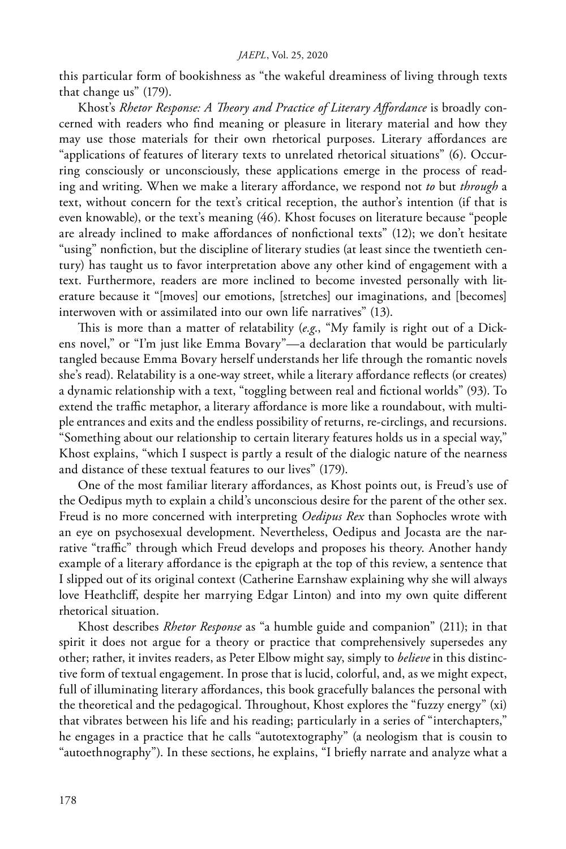this particular form of bookishness as "the wakeful dreaminess of living through texts that change us" (179).

Khost's *Rhetor Response: A Theory and Practice of Literary Affordance* is broadly concerned with readers who find meaning or pleasure in literary material and how they may use those materials for their own rhetorical purposes. Literary affordances are "applications of features of literary texts to unrelated rhetorical situations" (6). Occurring consciously or unconsciously, these applications emerge in the process of reading and writing. When we make a literary affordance, we respond not *to* but *through* a text, without concern for the text's critical reception, the author's intention (if that is even knowable), or the text's meaning (46). Khost focuses on literature because "people are already inclined to make affordances of nonfictional texts" (12); we don't hesitate "using" nonfiction, but the discipline of literary studies (at least since the twentieth century) has taught us to favor interpretation above any other kind of engagement with a text. Furthermore, readers are more inclined to become invested personally with literature because it "[moves] our emotions, [stretches] our imaginations, and [becomes] interwoven with or assimilated into our own life narratives" (13).

This is more than a matter of relatability (*e.g*., "My family is right out of a Dickens novel," or "I'm just like Emma Bovary"—a declaration that would be particularly tangled because Emma Bovary herself understands her life through the romantic novels she's read). Relatability is a one-way street, while a literary affordance reflects (or creates) a dynamic relationship with a text, "toggling between real and fictional worlds" (93). To extend the traffic metaphor, a literary affordance is more like a roundabout, with multiple entrances and exits and the endless possibility of returns, re-circlings, and recursions. "Something about our relationship to certain literary features holds us in a special way," Khost explains, "which I suspect is partly a result of the dialogic nature of the nearness and distance of these textual features to our lives" (179).

One of the most familiar literary affordances, as Khost points out, is Freud's use of the Oedipus myth to explain a child's unconscious desire for the parent of the other sex. Freud is no more concerned with interpreting *Oedipus Rex* than Sophocles wrote with an eye on psychosexual development. Nevertheless, Oedipus and Jocasta are the narrative "traffic" through which Freud develops and proposes his theory. Another handy example of a literary affordance is the epigraph at the top of this review, a sentence that I slipped out of its original context (Catherine Earnshaw explaining why she will always love Heathcliff, despite her marrying Edgar Linton) and into my own quite different rhetorical situation.

Khost describes *Rhetor Response* as "a humble guide and companion" (211); in that spirit it does not argue for a theory or practice that comprehensively supersedes any other; rather, it invites readers, as Peter Elbow might say, simply to *believe* in this distinctive form of textual engagement. In prose that is lucid, colorful, and, as we might expect, full of illuminating literary affordances, this book gracefully balances the personal with the theoretical and the pedagogical. Throughout, Khost explores the "fuzzy energy" (xi) that vibrates between his life and his reading; particularly in a series of "interchapters," he engages in a practice that he calls "autotextography" (a neologism that is cousin to "autoethnography"). In these sections, he explains, "I briefly narrate and analyze what a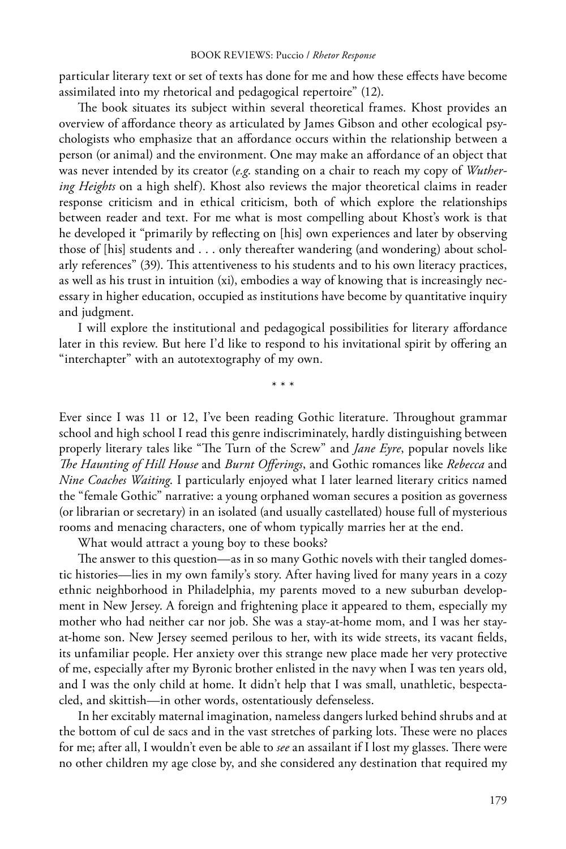particular literary text or set of texts has done for me and how these effects have become assimilated into my rhetorical and pedagogical repertoire" (12).

The book situates its subject within several theoretical frames. Khost provides an overview of affordance theory as articulated by James Gibson and other ecological psychologists who emphasize that an affordance occurs within the relationship between a person (or animal) and the environment. One may make an affordance of an object that was never intended by its creator (*e.g*. standing on a chair to reach my copy of *Wuthering Heights* on a high shelf). Khost also reviews the major theoretical claims in reader response criticism and in ethical criticism, both of which explore the relationships between reader and text. For me what is most compelling about Khost's work is that he developed it "primarily by reflecting on [his] own experiences and later by observing those of [his] students and . . . only thereafter wandering (and wondering) about scholarly references" (39). This attentiveness to his students and to his own literacy practices, as well as his trust in intuition (xi), embodies a way of knowing that is increasingly necessary in higher education, occupied as institutions have become by quantitative inquiry and judgment.

I will explore the institutional and pedagogical possibilities for literary affordance later in this review. But here I'd like to respond to his invitational spirit by offering an "interchapter" with an autotextography of my own.

\* \* \*

Ever since I was 11 or 12, I've been reading Gothic literature. Throughout grammar school and high school I read this genre indiscriminately, hardly distinguishing between properly literary tales like "The Turn of the Screw" and *Jane Eyre*, popular novels like *The Haunting of Hill House* and *Burnt Offerings*, and Gothic romances like *Rebecca* and *Nine Coaches Waiting*. I particularly enjoyed what I later learned literary critics named the "female Gothic" narrative: a young orphaned woman secures a position as governess (or librarian or secretary) in an isolated (and usually castellated) house full of mysterious rooms and menacing characters, one of whom typically marries her at the end.

What would attract a young boy to these books?

The answer to this question—as in so many Gothic novels with their tangled domestic histories—lies in my own family's story. After having lived for many years in a cozy ethnic neighborhood in Philadelphia, my parents moved to a new suburban development in New Jersey. A foreign and frightening place it appeared to them, especially my mother who had neither car nor job. She was a stay-at-home mom, and I was her stayat-home son. New Jersey seemed perilous to her, with its wide streets, its vacant fields, its unfamiliar people. Her anxiety over this strange new place made her very protective of me, especially after my Byronic brother enlisted in the navy when I was ten years old, and I was the only child at home. It didn't help that I was small, unathletic, bespectacled, and skittish—in other words, ostentatiously defenseless.

In her excitably maternal imagination, nameless dangers lurked behind shrubs and at the bottom of cul de sacs and in the vast stretches of parking lots. These were no places for me; after all, I wouldn't even be able to *see* an assailant if I lost my glasses. There were no other children my age close by, and she considered any destination that required my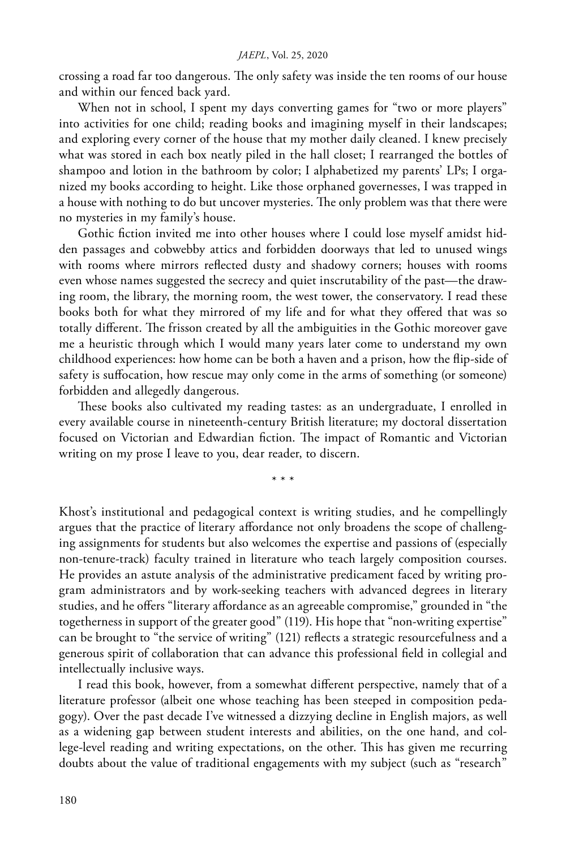crossing a road far too dangerous. The only safety was inside the ten rooms of our house and within our fenced back yard.

When not in school, I spent my days converting games for "two or more players" into activities for one child; reading books and imagining myself in their landscapes; and exploring every corner of the house that my mother daily cleaned. I knew precisely what was stored in each box neatly piled in the hall closet; I rearranged the bottles of shampoo and lotion in the bathroom by color; I alphabetized my parents' LPs; I organized my books according to height. Like those orphaned governesses, I was trapped in a house with nothing to do but uncover mysteries. The only problem was that there were no mysteries in my family's house.

Gothic fiction invited me into other houses where I could lose myself amidst hidden passages and cobwebby attics and forbidden doorways that led to unused wings with rooms where mirrors reflected dusty and shadowy corners; houses with rooms even whose names suggested the secrecy and quiet inscrutability of the past—the drawing room, the library, the morning room, the west tower, the conservatory. I read these books both for what they mirrored of my life and for what they offered that was so totally different. The frisson created by all the ambiguities in the Gothic moreover gave me a heuristic through which I would many years later come to understand my own childhood experiences: how home can be both a haven and a prison, how the flip-side of safety is suffocation, how rescue may only come in the arms of something (or someone) forbidden and allegedly dangerous.

These books also cultivated my reading tastes: as an undergraduate, I enrolled in every available course in nineteenth-century British literature; my doctoral dissertation focused on Victorian and Edwardian fiction. The impact of Romantic and Victorian writing on my prose I leave to you, dear reader, to discern.

\* \* \*

Khost's institutional and pedagogical context is writing studies, and he compellingly argues that the practice of literary affordance not only broadens the scope of challenging assignments for students but also welcomes the expertise and passions of (especially non-tenure-track) faculty trained in literature who teach largely composition courses. He provides an astute analysis of the administrative predicament faced by writing program administrators and by work-seeking teachers with advanced degrees in literary studies, and he offers "literary affordance as an agreeable compromise," grounded in "the togetherness in support of the greater good" (119). His hope that "non-writing expertise" can be brought to "the service of writing" (121) reflects a strategic resourcefulness and a generous spirit of collaboration that can advance this professional field in collegial and intellectually inclusive ways.

I read this book, however, from a somewhat different perspective, namely that of a literature professor (albeit one whose teaching has been steeped in composition pedagogy). Over the past decade I've witnessed a dizzying decline in English majors, as well as a widening gap between student interests and abilities, on the one hand, and college-level reading and writing expectations, on the other. This has given me recurring doubts about the value of traditional engagements with my subject (such as "research"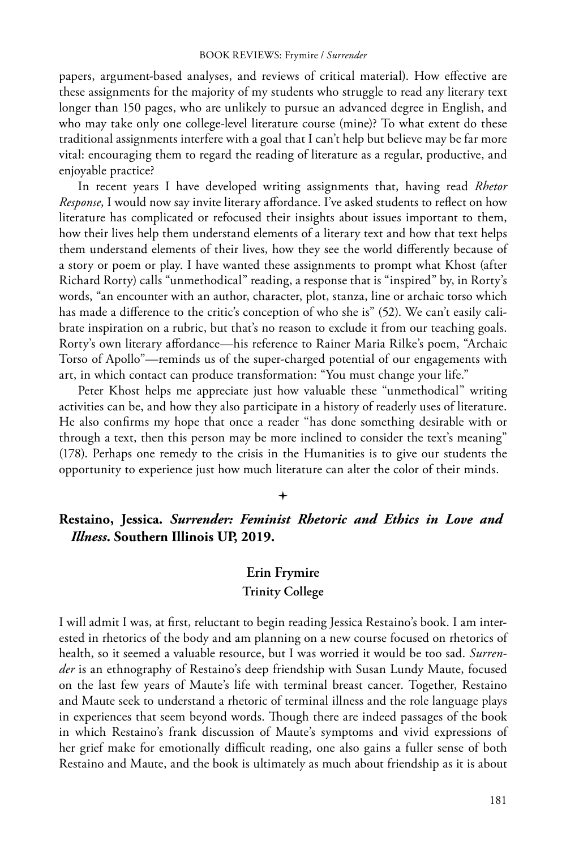papers, argument-based analyses, and reviews of critical material). How effective are these assignments for the majority of my students who struggle to read any literary text longer than 150 pages, who are unlikely to pursue an advanced degree in English, and who may take only one college-level literature course (mine)? To what extent do these traditional assignments interfere with a goal that I can't help but believe may be far more vital: encouraging them to regard the reading of literature as a regular, productive, and enjoyable practice?

In recent years I have developed writing assignments that, having read *Rhetor Response*, I would now say invite literary affordance. I've asked students to reflect on how literature has complicated or refocused their insights about issues important to them, how their lives help them understand elements of a literary text and how that text helps them understand elements of their lives, how they see the world differently because of a story or poem or play. I have wanted these assignments to prompt what Khost (after Richard Rorty) calls "unmethodical" reading, a response that is "inspired" by, in Rorty's words, "an encounter with an author, character, plot, stanza, line or archaic torso which has made a difference to the critic's conception of who she is" (52). We can't easily calibrate inspiration on a rubric, but that's no reason to exclude it from our teaching goals. Rorty's own literary affordance—his reference to Rainer Maria Rilke's poem, "Archaic Torso of Apollo"—reminds us of the super-charged potential of our engagements with art, in which contact can produce transformation: "You must change your life."

Peter Khost helps me appreciate just how valuable these "unmethodical" writing activities can be, and how they also participate in a history of readerly uses of literature. He also confirms my hope that once a reader "has done something desirable with or through a text, then this person may be more inclined to consider the text's meaning" (178). Perhaps one remedy to the crisis in the Humanities is to give our students the opportunity to experience just how much literature can alter the color of their minds.

## $\ddag$

## **Restaino, Jessica.** *Surrender: Feminist Rhetoric and Ethics in Love and Illness***. Southern Illinois UP, 2019.**

## **Erin Frymire**

## **Trinity College**

I will admit I was, at first, reluctant to begin reading Jessica Restaino's book. I am interested in rhetorics of the body and am planning on a new course focused on rhetorics of health, so it seemed a valuable resource, but I was worried it would be too sad. *Surrender* is an ethnography of Restaino's deep friendship with Susan Lundy Maute, focused on the last few years of Maute's life with terminal breast cancer. Together, Restaino and Maute seek to understand a rhetoric of terminal illness and the role language plays in experiences that seem beyond words. Though there are indeed passages of the book in which Restaino's frank discussion of Maute's symptoms and vivid expressions of her grief make for emotionally difficult reading, one also gains a fuller sense of both Restaino and Maute, and the book is ultimately as much about friendship as it is about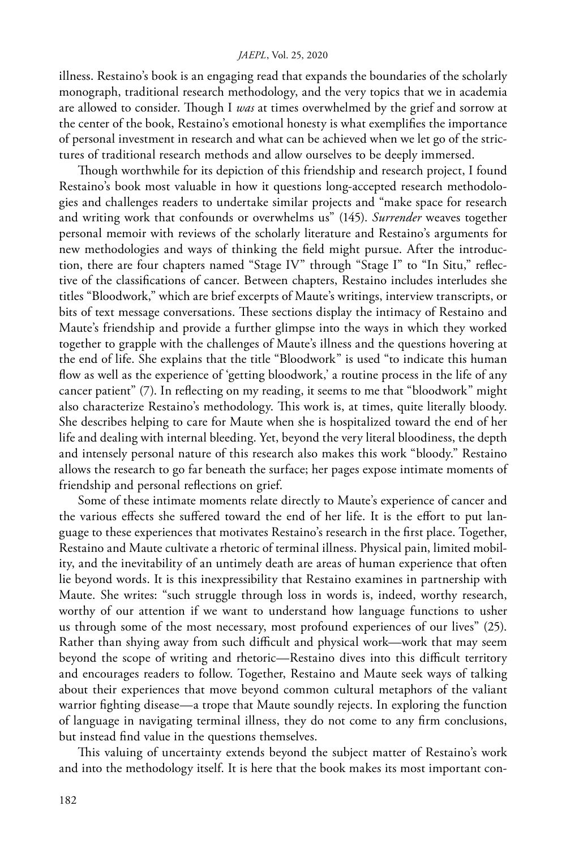#### *JAEPL*, Vol. 25, 2020

illness. Restaino's book is an engaging read that expands the boundaries of the scholarly monograph, traditional research methodology, and the very topics that we in academia are allowed to consider. Though I *was* at times overwhelmed by the grief and sorrow at the center of the book, Restaino's emotional honesty is what exemplifies the importance of personal investment in research and what can be achieved when we let go of the strictures of traditional research methods and allow ourselves to be deeply immersed.

Though worthwhile for its depiction of this friendship and research project, I found Restaino's book most valuable in how it questions long-accepted research methodologies and challenges readers to undertake similar projects and "make space for research and writing work that confounds or overwhelms us" (145). *Surrender* weaves together personal memoir with reviews of the scholarly literature and Restaino's arguments for new methodologies and ways of thinking the field might pursue. After the introduction, there are four chapters named "Stage IV" through "Stage I" to "In Situ," reflective of the classifications of cancer. Between chapters, Restaino includes interludes she titles "Bloodwork," which are brief excerpts of Maute's writings, interview transcripts, or bits of text message conversations. These sections display the intimacy of Restaino and Maute's friendship and provide a further glimpse into the ways in which they worked together to grapple with the challenges of Maute's illness and the questions hovering at the end of life. She explains that the title "Bloodwork" is used "to indicate this human flow as well as the experience of 'getting bloodwork,' a routine process in the life of any cancer patient" (7). In reflecting on my reading, it seems to me that "bloodwork" might also characterize Restaino's methodology. This work is, at times, quite literally bloody. She describes helping to care for Maute when she is hospitalized toward the end of her life and dealing with internal bleeding. Yet, beyond the very literal bloodiness, the depth and intensely personal nature of this research also makes this work "bloody." Restaino allows the research to go far beneath the surface; her pages expose intimate moments of friendship and personal reflections on grief.

Some of these intimate moments relate directly to Maute's experience of cancer and the various effects she suffered toward the end of her life. It is the effort to put language to these experiences that motivates Restaino's research in the first place. Together, Restaino and Maute cultivate a rhetoric of terminal illness. Physical pain, limited mobility, and the inevitability of an untimely death are areas of human experience that often lie beyond words. It is this inexpressibility that Restaino examines in partnership with Maute. She writes: "such struggle through loss in words is, indeed, worthy research, worthy of our attention if we want to understand how language functions to usher us through some of the most necessary, most profound experiences of our lives" (25). Rather than shying away from such difficult and physical work—work that may seem beyond the scope of writing and rhetoric—Restaino dives into this difficult territory and encourages readers to follow. Together, Restaino and Maute seek ways of talking about their experiences that move beyond common cultural metaphors of the valiant warrior fighting disease—a trope that Maute soundly rejects. In exploring the function of language in navigating terminal illness, they do not come to any firm conclusions, but instead find value in the questions themselves.

This valuing of uncertainty extends beyond the subject matter of Restaino's work and into the methodology itself. It is here that the book makes its most important con-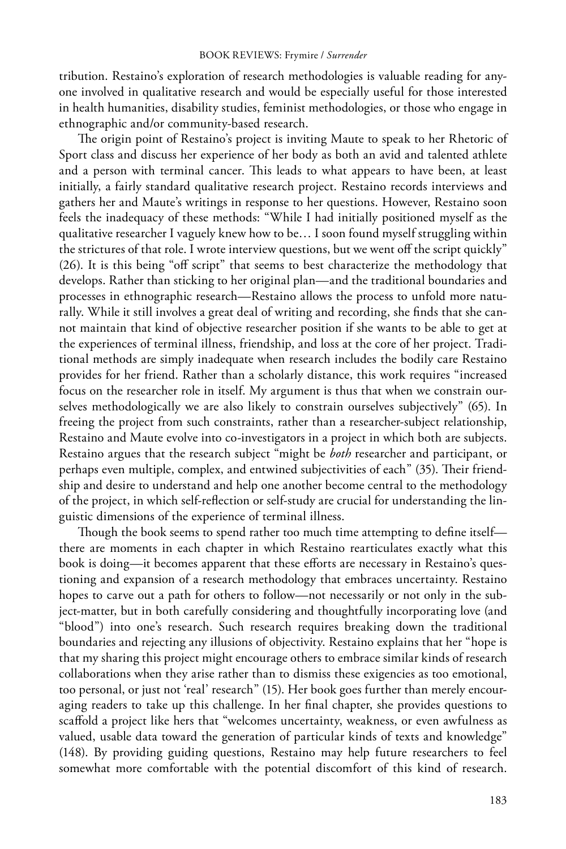tribution. Restaino's exploration of research methodologies is valuable reading for anyone involved in qualitative research and would be especially useful for those interested in health humanities, disability studies, feminist methodologies, or those who engage in ethnographic and/or community-based research.

The origin point of Restaino's project is inviting Maute to speak to her Rhetoric of Sport class and discuss her experience of her body as both an avid and talented athlete and a person with terminal cancer. This leads to what appears to have been, at least initially, a fairly standard qualitative research project. Restaino records interviews and gathers her and Maute's writings in response to her questions. However, Restaino soon feels the inadequacy of these methods: "While I had initially positioned myself as the qualitative researcher I vaguely knew how to be… I soon found myself struggling within the strictures of that role. I wrote interview questions, but we went off the script quickly" (26). It is this being "off script" that seems to best characterize the methodology that develops. Rather than sticking to her original plan—and the traditional boundaries and processes in ethnographic research—Restaino allows the process to unfold more naturally. While it still involves a great deal of writing and recording, she finds that she cannot maintain that kind of objective researcher position if she wants to be able to get at the experiences of terminal illness, friendship, and loss at the core of her project. Traditional methods are simply inadequate when research includes the bodily care Restaino provides for her friend. Rather than a scholarly distance, this work requires "increased focus on the researcher role in itself. My argument is thus that when we constrain ourselves methodologically we are also likely to constrain ourselves subjectively" (65). In freeing the project from such constraints, rather than a researcher-subject relationship, Restaino and Maute evolve into co-investigators in a project in which both are subjects. Restaino argues that the research subject "might be *both* researcher and participant, or perhaps even multiple, complex, and entwined subjectivities of each" (35). Their friendship and desire to understand and help one another become central to the methodology of the project, in which self-reflection or self-study are crucial for understanding the linguistic dimensions of the experience of terminal illness.

Though the book seems to spend rather too much time attempting to define itself there are moments in each chapter in which Restaino rearticulates exactly what this book is doing—it becomes apparent that these efforts are necessary in Restaino's questioning and expansion of a research methodology that embraces uncertainty. Restaino hopes to carve out a path for others to follow—not necessarily or not only in the subject-matter, but in both carefully considering and thoughtfully incorporating love (and "blood") into one's research. Such research requires breaking down the traditional boundaries and rejecting any illusions of objectivity. Restaino explains that her "hope is that my sharing this project might encourage others to embrace similar kinds of research collaborations when they arise rather than to dismiss these exigencies as too emotional, too personal, or just not 'real' research" (15). Her book goes further than merely encouraging readers to take up this challenge. In her final chapter, she provides questions to scaffold a project like hers that "welcomes uncertainty, weakness, or even awfulness as valued, usable data toward the generation of particular kinds of texts and knowledge" (148). By providing guiding questions, Restaino may help future researchers to feel somewhat more comfortable with the potential discomfort of this kind of research.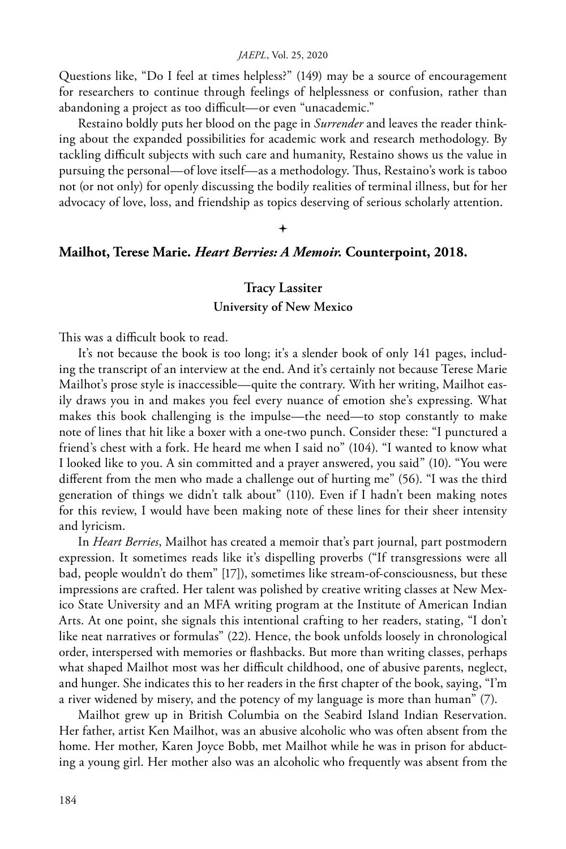#### *JAEPL*, Vol. 25, 2020

Questions like, "Do I feel at times helpless?" (149) may be a source of encouragement for researchers to continue through feelings of helplessness or confusion, rather than abandoning a project as too difficult—or even "unacademic."

Restaino boldly puts her blood on the page in *Surrender* and leaves the reader thinking about the expanded possibilities for academic work and research methodology. By tackling difficult subjects with such care and humanity, Restaino shows us the value in pursuing the personal—of love itself—as a methodology. Thus, Restaino's work is taboo not (or not only) for openly discussing the bodily realities of terminal illness, but for her advocacy of love, loss, and friendship as topics deserving of serious scholarly attention.

## $\ddag$

## **Mailhot, Terese Marie.** *Heart Berries: A Memoir.* **Counterpoint, 2018.**

## **Tracy Lassiter**

## **University of New Mexico**

This was a difficult book to read.

It's not because the book is too long; it's a slender book of only 141 pages, including the transcript of an interview at the end. And it's certainly not because Terese Marie Mailhot's prose style is inaccessible—quite the contrary. With her writing, Mailhot easily draws you in and makes you feel every nuance of emotion she's expressing. What makes this book challenging is the impulse—the need—to stop constantly to make note of lines that hit like a boxer with a one-two punch. Consider these: "I punctured a friend's chest with a fork. He heard me when I said no" (104). "I wanted to know what I looked like to you. A sin committed and a prayer answered, you said" (10). "You were different from the men who made a challenge out of hurting me" (56). "I was the third generation of things we didn't talk about" (110). Even if I hadn't been making notes for this review, I would have been making note of these lines for their sheer intensity and lyricism.

In *Heart Berries*, Mailhot has created a memoir that's part journal, part postmodern expression. It sometimes reads like it's dispelling proverbs ("If transgressions were all bad, people wouldn't do them" [17]), sometimes like stream-of-consciousness, but these impressions are crafted. Her talent was polished by creative writing classes at New Mexico State University and an MFA writing program at the Institute of American Indian Arts. At one point, she signals this intentional crafting to her readers, stating, "I don't like neat narratives or formulas" (22). Hence, the book unfolds loosely in chronological order, interspersed with memories or flashbacks. But more than writing classes, perhaps what shaped Mailhot most was her difficult childhood, one of abusive parents, neglect, and hunger. She indicates this to her readers in the first chapter of the book, saying, "I'm a river widened by misery, and the potency of my language is more than human" (7).

Mailhot grew up in British Columbia on the Seabird Island Indian Reservation. Her father, artist Ken Mailhot, was an abusive alcoholic who was often absent from the home. Her mother, Karen Joyce Bobb, met Mailhot while he was in prison for abducting a young girl. Her mother also was an alcoholic who frequently was absent from the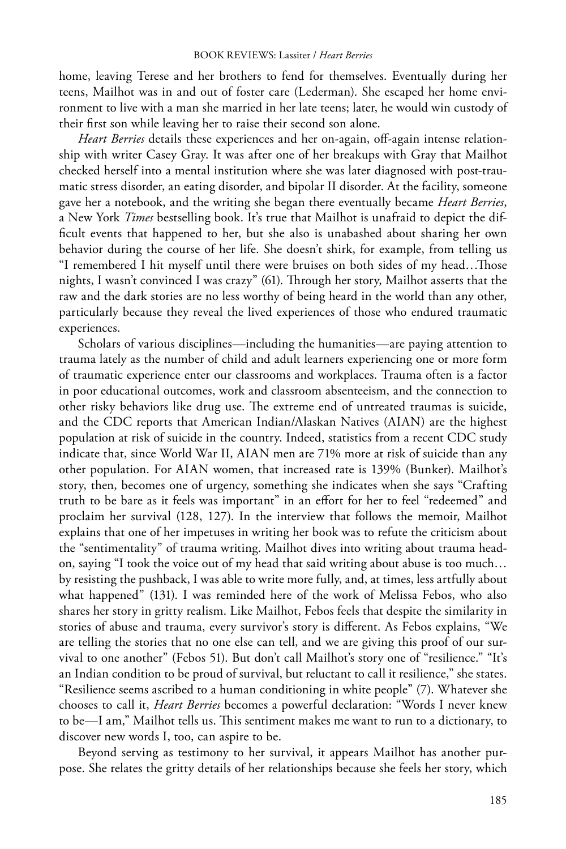home, leaving Terese and her brothers to fend for themselves. Eventually during her teens, Mailhot was in and out of foster care (Lederman). She escaped her home environment to live with a man she married in her late teens; later, he would win custody of their first son while leaving her to raise their second son alone.

*Heart Berries* details these experiences and her on-again, off-again intense relationship with writer Casey Gray. It was after one of her breakups with Gray that Mailhot checked herself into a mental institution where she was later diagnosed with post-traumatic stress disorder, an eating disorder, and bipolar II disorder. At the facility, someone gave her a notebook, and the writing she began there eventually became *Heart Berries*, a New York *Times* bestselling book. It's true that Mailhot is unafraid to depict the difficult events that happened to her, but she also is unabashed about sharing her own behavior during the course of her life. She doesn't shirk, for example, from telling us "I remembered I hit myself until there were bruises on both sides of my head…Those nights, I wasn't convinced I was crazy" (61). Through her story, Mailhot asserts that the raw and the dark stories are no less worthy of being heard in the world than any other, particularly because they reveal the lived experiences of those who endured traumatic experiences.

Scholars of various disciplines—including the humanities—are paying attention to trauma lately as the number of child and adult learners experiencing one or more form of traumatic experience enter our classrooms and workplaces. Trauma often is a factor in poor educational outcomes, work and classroom absenteeism, and the connection to other risky behaviors like drug use. The extreme end of untreated traumas is suicide, and the CDC reports that American Indian/Alaskan Natives (AIAN) are the highest population at risk of suicide in the country. Indeed, statistics from a recent CDC study indicate that, since World War II, AIAN men are 71% more at risk of suicide than any other population. For AIAN women, that increased rate is 139% (Bunker). Mailhot's story, then, becomes one of urgency, something she indicates when she says "Crafting truth to be bare as it feels was important" in an effort for her to feel "redeemed" and proclaim her survival (128, 127). In the interview that follows the memoir, Mailhot explains that one of her impetuses in writing her book was to refute the criticism about the "sentimentality" of trauma writing. Mailhot dives into writing about trauma headon, saying "I took the voice out of my head that said writing about abuse is too much… by resisting the pushback, I was able to write more fully, and, at times, less artfully about what happened" (131). I was reminded here of the work of Melissa Febos, who also shares her story in gritty realism. Like Mailhot, Febos feels that despite the similarity in stories of abuse and trauma, every survivor's story is different. As Febos explains, "We are telling the stories that no one else can tell, and we are giving this proof of our survival to one another" (Febos 51). But don't call Mailhot's story one of "resilience." "It's an Indian condition to be proud of survival, but reluctant to call it resilience," she states. "Resilience seems ascribed to a human conditioning in white people" (7). Whatever she chooses to call it, *Heart Berries* becomes a powerful declaration: "Words I never knew to be—I am," Mailhot tells us. This sentiment makes me want to run to a dictionary, to discover new words I, too, can aspire to be.

Beyond serving as testimony to her survival, it appears Mailhot has another purpose. She relates the gritty details of her relationships because she feels her story, which